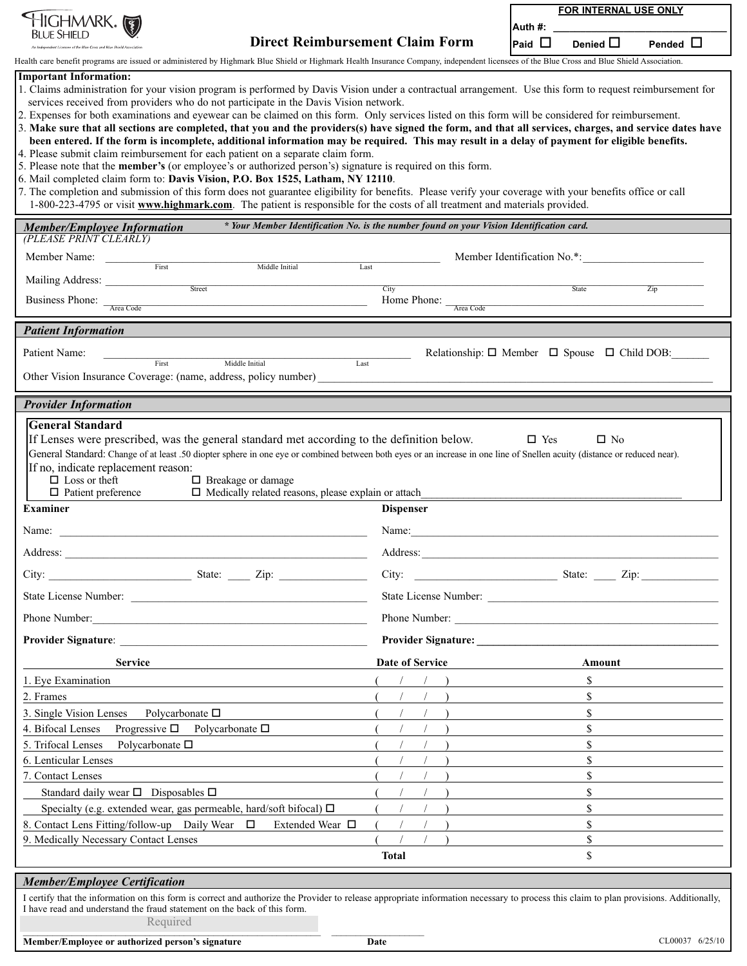| <b>IIGHMARK IS</b>                                                                                                                                                                                                                                                                                                                                                                                                                                                                                                                                                                                                                                                                                                                                                                                                                                                                                                                                                                                                                                                                                                                                                                                                                                                                                          |                       | <b>FOR INTERNAL USE ONLY</b>                  |  |
|-------------------------------------------------------------------------------------------------------------------------------------------------------------------------------------------------------------------------------------------------------------------------------------------------------------------------------------------------------------------------------------------------------------------------------------------------------------------------------------------------------------------------------------------------------------------------------------------------------------------------------------------------------------------------------------------------------------------------------------------------------------------------------------------------------------------------------------------------------------------------------------------------------------------------------------------------------------------------------------------------------------------------------------------------------------------------------------------------------------------------------------------------------------------------------------------------------------------------------------------------------------------------------------------------------------|-----------------------|-----------------------------------------------|--|
| Bit je Shift d                                                                                                                                                                                                                                                                                                                                                                                                                                                                                                                                                                                                                                                                                                                                                                                                                                                                                                                                                                                                                                                                                                                                                                                                                                                                                              |                       | Auth #:                                       |  |
| <b>Direct Reimbursement Claim Form</b><br>ndent Licensee of the Blue Cross and Blue Shield Associati                                                                                                                                                                                                                                                                                                                                                                                                                                                                                                                                                                                                                                                                                                                                                                                                                                                                                                                                                                                                                                                                                                                                                                                                        |                       | Pended $\Box$<br>Denied $\Box$<br>Paid $\Box$ |  |
| Health care benefit programs are issued or administered by Highmark Blue Shield or Highmark Health Insurance Company, independent licensees of the Blue Cross and Blue Shield Association.<br><b>Important Information:</b>                                                                                                                                                                                                                                                                                                                                                                                                                                                                                                                                                                                                                                                                                                                                                                                                                                                                                                                                                                                                                                                                                 |                       |                                               |  |
| 1. Claims administration for your vision program is performed by Davis Vision under a contractual arrangement. Use this form to request reimbursement for<br>services received from providers who do not participate in the Davis Vision network.<br>2. Expenses for both examinations and eyewear can be claimed on this form. Only services listed on this form will be considered for reimbursement.<br>3. Make sure that all sections are completed, that you and the providers(s) have signed the form, and that all services, charges, and service dates have<br>been entered. If the form is incomplete, additional information may be required. This may result in a delay of payment for eligible benefits.<br>4. Please submit claim reimbursement for each patient on a separate claim form.<br>5. Please note that the <b>member's</b> (or employee's or authorized person's) signature is required on this form.<br>6. Mail completed claim form to: Davis Vision, P.O. Box 1525, Latham, NY 12110.<br>7. The completion and submission of this form does not guarantee eligibility for benefits. Please verify your coverage with your benefits office or call<br>1-800-223-4795 or visit www.highmark.com. The patient is responsible for the costs of all treatment and materials provided. |                       |                                               |  |
| * Your Member Identification No. is the number found on your Vision Identification card.<br><b>Member/Employee Information</b><br>(PLEASE PRINT CLEARLY)                                                                                                                                                                                                                                                                                                                                                                                                                                                                                                                                                                                                                                                                                                                                                                                                                                                                                                                                                                                                                                                                                                                                                    |                       |                                               |  |
| Member Name:                                                                                                                                                                                                                                                                                                                                                                                                                                                                                                                                                                                                                                                                                                                                                                                                                                                                                                                                                                                                                                                                                                                                                                                                                                                                                                |                       | Member Identification No.*:                   |  |
| First<br>Middle Initial                                                                                                                                                                                                                                                                                                                                                                                                                                                                                                                                                                                                                                                                                                                                                                                                                                                                                                                                                                                                                                                                                                                                                                                                                                                                                     | Last                  |                                               |  |
| Street                                                                                                                                                                                                                                                                                                                                                                                                                                                                                                                                                                                                                                                                                                                                                                                                                                                                                                                                                                                                                                                                                                                                                                                                                                                                                                      | City                  | State<br>$\overline{Zip}$                     |  |
| Business Phone: The Code                                                                                                                                                                                                                                                                                                                                                                                                                                                                                                                                                                                                                                                                                                                                                                                                                                                                                                                                                                                                                                                                                                                                                                                                                                                                                    | Home Phone: Area Code |                                               |  |
| <b>Patient Information</b>                                                                                                                                                                                                                                                                                                                                                                                                                                                                                                                                                                                                                                                                                                                                                                                                                                                                                                                                                                                                                                                                                                                                                                                                                                                                                  |                       |                                               |  |
| Patient Name:<br>Relationship: $\Box$ Member $\Box$ Spouse $\Box$ Child DOB:<br>First<br>Middle Initial<br>Last<br>Other Vision Insurance Coverage: (name, address, policy number)                                                                                                                                                                                                                                                                                                                                                                                                                                                                                                                                                                                                                                                                                                                                                                                                                                                                                                                                                                                                                                                                                                                          |                       |                                               |  |
| <b>Provider Information</b>                                                                                                                                                                                                                                                                                                                                                                                                                                                                                                                                                                                                                                                                                                                                                                                                                                                                                                                                                                                                                                                                                                                                                                                                                                                                                 |                       |                                               |  |
| General Standard: Change of at least .50 diopter sphere in one eye or combined between both eyes or an increase in one line of Snellen acuity (distance or reduced near).<br>If no, indicate replacement reason:<br>$\Box$ Loss or theft<br>$\Box$ Breakage or damage<br>$\Box$ Medically related reasons, please explain or attach<br>$\Box$ Patient preference<br><b>Examiner</b>                                                                                                                                                                                                                                                                                                                                                                                                                                                                                                                                                                                                                                                                                                                                                                                                                                                                                                                         | <b>Dispenser</b>      |                                               |  |
| Name:                                                                                                                                                                                                                                                                                                                                                                                                                                                                                                                                                                                                                                                                                                                                                                                                                                                                                                                                                                                                                                                                                                                                                                                                                                                                                                       | Name:                 |                                               |  |
| Address:                                                                                                                                                                                                                                                                                                                                                                                                                                                                                                                                                                                                                                                                                                                                                                                                                                                                                                                                                                                                                                                                                                                                                                                                                                                                                                    | Address:              |                                               |  |
|                                                                                                                                                                                                                                                                                                                                                                                                                                                                                                                                                                                                                                                                                                                                                                                                                                                                                                                                                                                                                                                                                                                                                                                                                                                                                                             |                       |                                               |  |
|                                                                                                                                                                                                                                                                                                                                                                                                                                                                                                                                                                                                                                                                                                                                                                                                                                                                                                                                                                                                                                                                                                                                                                                                                                                                                                             |                       |                                               |  |
|                                                                                                                                                                                                                                                                                                                                                                                                                                                                                                                                                                                                                                                                                                                                                                                                                                                                                                                                                                                                                                                                                                                                                                                                                                                                                                             |                       |                                               |  |
| Phone Number:                                                                                                                                                                                                                                                                                                                                                                                                                                                                                                                                                                                                                                                                                                                                                                                                                                                                                                                                                                                                                                                                                                                                                                                                                                                                                               |                       | Phone Number:                                 |  |
|                                                                                                                                                                                                                                                                                                                                                                                                                                                                                                                                                                                                                                                                                                                                                                                                                                                                                                                                                                                                                                                                                                                                                                                                                                                                                                             |                       |                                               |  |
| <b>Service</b>                                                                                                                                                                                                                                                                                                                                                                                                                                                                                                                                                                                                                                                                                                                                                                                                                                                                                                                                                                                                                                                                                                                                                                                                                                                                                              | Date of Service       | Amount                                        |  |
| 1. Eye Examination                                                                                                                                                                                                                                                                                                                                                                                                                                                                                                                                                                                                                                                                                                                                                                                                                                                                                                                                                                                                                                                                                                                                                                                                                                                                                          |                       | S                                             |  |
| 2. Frames                                                                                                                                                                                                                                                                                                                                                                                                                                                                                                                                                                                                                                                                                                                                                                                                                                                                                                                                                                                                                                                                                                                                                                                                                                                                                                   |                       | $\mathbf S$                                   |  |
| 3. Single Vision Lenses<br>Polycarbonate $\square$<br>4. Bifocal Lenses<br>Progressive $\square$ Polycarbonate $\square$                                                                                                                                                                                                                                                                                                                                                                                                                                                                                                                                                                                                                                                                                                                                                                                                                                                                                                                                                                                                                                                                                                                                                                                    |                       | \$<br>\$                                      |  |
| 5. Trifocal Lenses<br>Polycarbonate $\square$                                                                                                                                                                                                                                                                                                                                                                                                                                                                                                                                                                                                                                                                                                                                                                                                                                                                                                                                                                                                                                                                                                                                                                                                                                                               |                       | \$                                            |  |
| 6. Lenticular Lenses                                                                                                                                                                                                                                                                                                                                                                                                                                                                                                                                                                                                                                                                                                                                                                                                                                                                                                                                                                                                                                                                                                                                                                                                                                                                                        |                       | $\mathbf S$                                   |  |
| 7. Contact Lenses                                                                                                                                                                                                                                                                                                                                                                                                                                                                                                                                                                                                                                                                                                                                                                                                                                                                                                                                                                                                                                                                                                                                                                                                                                                                                           |                       | \$                                            |  |
| Standard daily wear $\square$ Disposables $\square$                                                                                                                                                                                                                                                                                                                                                                                                                                                                                                                                                                                                                                                                                                                                                                                                                                                                                                                                                                                                                                                                                                                                                                                                                                                         |                       | \$                                            |  |
| Specialty (e.g. extended wear, gas permeable, hard/soft bifocal) $\Box$                                                                                                                                                                                                                                                                                                                                                                                                                                                                                                                                                                                                                                                                                                                                                                                                                                                                                                                                                                                                                                                                                                                                                                                                                                     |                       | \$                                            |  |
| 8. Contact Lens Fitting/follow-up Daily Wear $\Box$<br>Extended Wear $\Box$                                                                                                                                                                                                                                                                                                                                                                                                                                                                                                                                                                                                                                                                                                                                                                                                                                                                                                                                                                                                                                                                                                                                                                                                                                 | $\sqrt{2}$            | $\mathbf S$                                   |  |
| 9. Medically Necessary Contact Lenses                                                                                                                                                                                                                                                                                                                                                                                                                                                                                                                                                                                                                                                                                                                                                                                                                                                                                                                                                                                                                                                                                                                                                                                                                                                                       | Total                 | $\mathbf S$<br>\$                             |  |
|                                                                                                                                                                                                                                                                                                                                                                                                                                                                                                                                                                                                                                                                                                                                                                                                                                                                                                                                                                                                                                                                                                                                                                                                                                                                                                             |                       |                                               |  |
| <b>Member/Employee Certification</b>                                                                                                                                                                                                                                                                                                                                                                                                                                                                                                                                                                                                                                                                                                                                                                                                                                                                                                                                                                                                                                                                                                                                                                                                                                                                        |                       |                                               |  |
| I certify that the information on this form is correct and authorize the Provider to release appropriate information necessary to process this claim to plan provisions. Additionally,<br>I have read and understand the fraud statement on the back of this form.<br>Required                                                                                                                                                                                                                                                                                                                                                                                                                                                                                                                                                                                                                                                                                                                                                                                                                                                                                                                                                                                                                              |                       |                                               |  |
| Member/Employee or authorized person's signature                                                                                                                                                                                                                                                                                                                                                                                                                                                                                                                                                                                                                                                                                                                                                                                                                                                                                                                                                                                                                                                                                                                                                                                                                                                            | Date                  | CL00037 6/25/10                               |  |